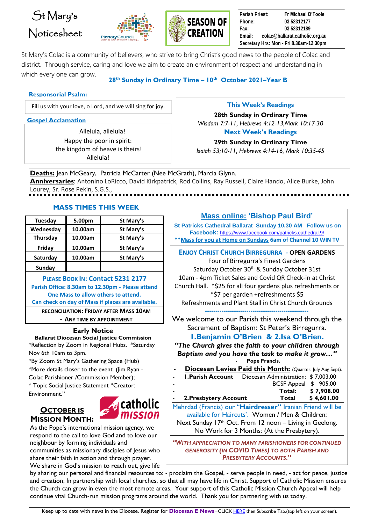# St Mary's Noticesheet





**Parish Priest: Fr Michael O'Toole Phone: 03 52312177 Fax: 03 52312189 Email: colac@ballarat.catholic.org.au Secretary Hrs: Mon - Fri 8.30am-12.30pm**

St Mary's Colac is a community of believers, who strive to bring Christ's good news to the people of Colac and district. Through service, caring and love we aim to create an environment of respect and understanding in

which every one can grow.

**28 th Sunday in Ordinary Time – 10th October 2021–Year B**

## **Responsorial Psalm:**

Fill us with your love, o Lord, and we will sing for joy.

#### **Gospel Acclamation**

Alleluia, alleluia! Happy the poor in spirit: the kingdom of heave is theirs! Alleluia!

## **This Week's Readings**

**28th Sunday in Ordinary Time** *Wisdom 7:7-11, Hebrews 4:12-13,Mark 10:17-30* **Next Week's Readings** 

**29th Sunday in Ordinary Time** *Isaiah 53;10-11, Hebrews 4:14-16, Mark 10:35-45*

**Deaths:** Jean McGeary, Patricia McCarter (Nee McGrath), Marcia Glynn. **Anniversaries**: Antonino LoRicco, David Kirkpatrick, Rod Collins, Ray Russell, Claire Hando, Alice Burke, John Lourey, Sr. Rose Pekin, S.G.S.,

# **MASS TIMES THIS WEEK**

| 5.00pm  | St Mary's |
|---------|-----------|
| 10.00am | St Mary's |
| 10.00am | St Mary's |
| 10.00am | St Mary's |
| 10.00am | St Mary's |
|         |           |
|         |           |

#### **PLEASE BOOK IN: Contact 5231 2177 Parish Office: 8.30am to 12.30pm - Please attend One Mass to allow others to attend. Can check on day of Mass if places are available.**

**RECONCILIATION: FRIDAY AFTER MASS 10AM - ANY TIME BY APPOINTMENT**

# **Early Notice**

**Ballarat Diocesan Social Justice Commission** \*Reflection by Zoom in Regional Hubs. \*Saturday Nov 6th 10am to 3pm.

\*By Zoom St Mary's Gathering Space (Hub) \*More details closer to the event. (Jim Ryan - Colac Parishioner /Commission Member); \* Topic Social Justice Statement "Creator: Environment."





As the Pope's international mission agency, we respond to the call to love God and to love our neighbour by forming individuals and communities as missionary disciples of Jesus who

share their faith in action and through prayer. We share in God's mission to reach out, give life

# **Mass online: 'Bishop Paul Bird'**

**St Patricks Cathedral Ballarat Sunday 10.30 AM Follow us on Facebook:** <https://www.facebook.com/patricks.cathedral.9/> **\*\*Mass for you at Home on Sundays 6am of Channel 10 WIN TV ENJOY CHRIST CHURCH BIRREGURRA - OPEN GARDENS** Four of Birregurra's Finest Gardens Saturday October 30<sup>th</sup> & Sunday October 31st 10am - 4pm Ticket Sales and Covid QR Check-in at Christ Church Hall. \*\$25 for all four gardens plus refreshments or \*\$7 per garden +refreshments \$5 Refreshments and Plant Stall in Christ Church Grounds **--------------------------------------------------** We welcome to our Parish this weekend through the Sacrament of Baptism: St Peter's Birregurra. **1.Benjamin O'Brien & 2.Isa O'Brien.**

*"The Church gives the faith to your children through Baptism and you have the task to make it grow…"*

|  | <b>Pope Francis.</b> |  |  |
|--|----------------------|--|--|
|--|----------------------|--|--|

| <b>Diocesan Levies Paid this Month:</b> (Quarter: July Aug Sept).<br>$\sim$ |  |                       |                   |  |  |
|-----------------------------------------------------------------------------|--|-----------------------|-------------------|--|--|
| <b>I. Parish Account</b> Diocesan Administration: \$7,003.00<br>L.          |  |                       |                   |  |  |
| $\overline{a}$                                                              |  | BCSF Appeal \$ 905.00 |                   |  |  |
|                                                                             |  |                       | Total: \$7,908.00 |  |  |
| - 2.Presbytery Account                                                      |  |                       | Total \$4,601.00  |  |  |
| Mehrdad (Francis) our " <b>Hairdresser"</b> Iranian Friend will be          |  |                       |                   |  |  |
| available for Haircuts'. Women / Men & Children:                            |  |                       |                   |  |  |
| Next Sunday 17th Oct. From 12 noon - Living in Geelong.                     |  |                       |                   |  |  |
| No Work for 3 Months: (At the Presbytery).                                  |  |                       |                   |  |  |
|                                                                             |  |                       |                   |  |  |

*"WITH APPRECIATION TO MANY PARISHIONERS FOR CONTINUED GENEROSITY (IN COVID TIMES) TO BOTH PARISH AND PRESBYTERY ACCOUNTS***."**

by sharing our personal and financial resources to: - proclaim the Gospel, - serve people in need, - act for peace, justice and creation; In partnership with local churches, so that all may have life in Christ. Support of Catholic Mission ensures the Church can grow in even the most remote areas. Your support of this Catholic Mission Church Appeal will help continue vital Church-run mission programs around the world. Thank you for partnering with us today.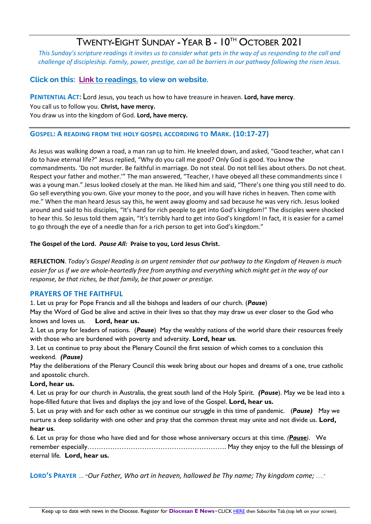# TWENTY-EIGHT SUNDAY -YEAR B - 10TH OCTOBER 2021

*This Sunday's scripture readings it invites us to consider what gets in the way of us responding to the call and challenge of discipleship. Family, power, prestige, can all be barriers in our pathway following the risen Jesus.*

#### **Click on this: [Link](https://www.universalis.com/Australia/20211010/mass.htm) to readings. to view on website.**

**PENITENTIAL ACT:** Lord Jesus, you teach us how to have treasure in heaven. **Lord, have mercy**. You call us to follow you. **Christ, have mercy.** You draw us into the kingdom of God. **Lord, have mercy.**

#### **GOSPEL: A READING FROM THE HOLY GOSPEL ACCORDING TO MARK. (10:17-27)**

As Jesus was walking down a road, a man ran up to him. He kneeled down, and asked, "Good teacher, what can I do to have eternal life?" Jesus replied, "Why do you call me good? Only God is good. You know the commandments. 'Do not murder. Be faithful in marriage. Do not steal. Do not tell lies about others. Do not cheat. Respect your father and mother.'" The man answered, "Teacher, I have obeyed all these commandments since I was a young man." Jesus looked closely at the man. He liked him and said, "There's one thing you still need to do. Go sell everything you own. Give your money to the poor, and you will have riches in heaven. Then come with me." When the man heard Jesus say this, he went away gloomy and sad because he was very rich. Jesus looked around and said to his disciples, "It's hard for rich people to get into God's kingdom!" The disciples were shocked to hear this. So Jesus told them again, "It's terribly hard to get into God's kingdom! In fact, it is easier for a camel to go through the eye of a needle than for a rich person to get into God's kingdom."

#### **The Gospel of the Lord.** *Pause All:* **Praise to you, Lord Jesus Christ.**

**REFLECTION**. *Today's Gospel Reading is an urgent reminder that our pathway to the Kingdom of Heaven is much easier for us if we are whole-heartedly free from anything and everything which might get in the way of our response, be that riches, be that family, be that power or prestige.*

#### **PRAYERS OF THE FAITHFUL**

1. Let us pray for Pope Francis and all the bishops and leaders of our church. (*Pause*)

May the Word of God be alive and active in their lives so that they may draw us ever closer to the God who knows and loves us. **Lord, hear us.**

2. Let us pray for leaders of nations. (*Pause*) May the wealthy nations of the world share their resources freely with those who are burdened with poverty and adversity. **Lord, hear us**.

3. Let us continue to pray about the Plenary Council the first session of which comes to a conclusion this weekend. *(Pause)*

May the deliberations of the Plenary Council this week bring about our hopes and dreams of a one, true catholic and apostolic church.

#### **Lord, hear us.**

4. Let us pray for our church in Australia, the great south land of the Holy Spirit. *(Pause*). May we be lead into a hope-filled future that lives and displays the joy and love of the Gospel. **Lord, hear us.**

5. Let us pray with and for each other as we continue our struggle in this time of pandemic. (*Pause)* May we nurture a deep solidarity with one other and pray that the common threat may unite and not divide us. **Lord, hear us**.

6. Let us pray for those who have died and for those whose anniversary occurs at this time. *(Pause)*. We remember especially……………………………………………………. May they enjoy to the full the blessings of eternal life. **Lord, hear us.**

**LORD'S PRAYER** … **"***Our Father, Who art in heaven, hallowed be Thy name; Thy kingdom come;* ….."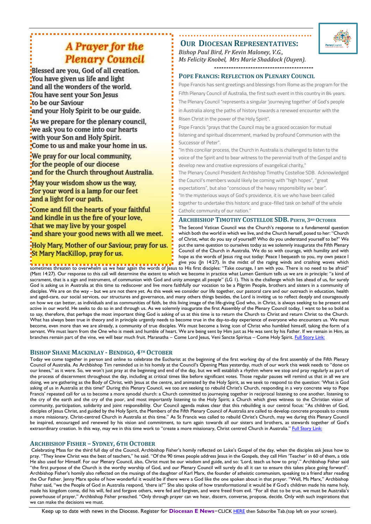# A Prayer for the **Plenary Council**

Blessed are you, God of all creation. You have given us life and light and all the wonders of the world. You have sent your Son Jesus to be our Saviour

and your Holy Spirit to be our guide.

As we prepare for the plenary council, we ask you to come into our hearts -with your Son and Holy Spirit. Come to us and make your home in us.

We pray for our local community, for the people of our diocese and for the Church throughout Australia.

May your wisdom show us the way. for your word is a lamp for our feet and a light for our path.

Come and fill the hearts of your faithful and kindle in us the fire of your love, that we may live by your gospel and share your good news with all we meet.

Holy Mary, Mother of our Saviour, pray for us. St Mary MacKillop, pray for us.

**………………………………………. OUR DIOCESAN REPRESENTATIVES:**



*Bishop Paul Bird, Fr Kevin Maloney, V.G., Ms Felicity Knobel, Mrs Marie Shaddock (Ouyen). -----------------------------------------*

#### **POPE FRANCIS: REFLECTION ON PLENARY COUNCIL**

Pope Francis has sent greetings and blessings from Rome as the program for the Fifth Plenary Council of Australia, the first such event in this country in 84 years. The Plenary Council "represents a singular 'journeying together' of God's people

in Australia along the paths of history towards a renewed encounter with the Risen Christ in the power of the Holy Spirit".

Pope Francis "prays that the Council may be a graced occasion for mutual listening and spiritual discernment, marked by profound Communion with the Successor of Peter".

"In this conciliar process, the Church in Australia is challenged to listen to the voice of the Spirit and to bear witness to the perennial truth of the Gospel and to develop new and creative expressions of evangelical charity,"

The Plenary Council President Archbishop Timothy Costelloe SDB. Acknowledged the Council's members would likely be coming with "high hopes", "great expectations", but also "conscious of the heavy responsibility we bear". "In the mysterious ways of God's providence, it is we who have been called together to undertake this historic and grace-filled task on behalf of the whole Catholic community of our nation."

#### **ARCHBISHOP TIMOTHY COSTELLOE SDB. PERTH, 3RD OCTOBER**

The Second Vatican Council was the Church's response to a fundamental question which both the world in which we live, and the Church herself, posed to her: "Church of Christ, what do you say of yourself? Who do you understand yourself to be?" We put the same question to ourselves today as we solemnly inaugurate the Fifth Plenary Council of the Church in Australia. We do so with courage, with humility and with hope as the words of Jesus ring out today: Peace I bequeath to you, my own peace I give you (Jn 14:27). In the midst of the raging winds and crashing waves which

sometimes threaten to overwhelm us we hear again the words of Jesus to His first disciples: "Take courage, I am with you. There is no need to be afraid" (Matt 14:27). Our response to this call will determine the extent to which we become in practice what Lumen Gentium tells us we are in principle: "a kind of sacrament, that is a sign and instrument, of communion with God and unity amongst all people" (LG 1). This is the challenge which lies ahead of us, for surely God is asking us in Australia at this time to rediscover and live more faithfully our vocation to be a Pilgrim People, brothers and sisters in a community of disciples. We are on the way – but we are not there yet. As this week we consider our life together, our pastoral care and our outreach in education, health and aged-care, our social services, our structures and governance, and many others things besides, the Lord is inviting us to reflect deeply and courageously on how we can better, as individuals and as communities of faith, be this living image of the life-giving God who, in Christ, is always seeking to be present and active in our world. He seeks to do so in and through us. As we solemnly inaugurate the first Assembly of the Plenary Council today, I want to be so bold as to say, therefore, that perhaps the most important thing God is asking of us at this time is to return the Church to Christ and return Christ to the Church. What has always been true in theory and in principle urgently needs to become true in the day-to-day experience of everyone who encounters us. We must become, even more than we are already, a community of true disciples. We must become a living icon of Christ who humbled himself, taking the form of a servant. We must learn from the One who is meek and humble of heart. We are being sent by Him just as He was sent by his Father. If we remain in Him, as branches remain part of the vine, we will bear much fruit. Maranatha – Come Lord Jesus, Veni Sancte Spiritus – Come Holy Spirit. Full [Story](https://plenarycouncil.catholic.org.au/wp-content/uploads/2021/10/Archbishop-Timothy-Costelloe-Homily-for-Plenary-Council-Opening-Mass.pdf) Link:

#### **BISHOP SHANE MACKINLAY - BENDIGO, 4TH OCTOBER**

Today we come together in person and online to celebrate the Eucharist at the beginning of the first working day of the first assembly of the Fifth Plenary Council of Australia. As Archbishop Tim reminded us in his homily at the Council's Opening Mass yesterday, much of our work this week needs to "done on our knees," as it were. So, we won't just pray at the beginning and end of the day, but we will establish a rhythm where we stop and pray regularly as part of the process of discernment throughout the day, including at critical times like before significant votes. Those regular pauses will remind us that in all we are doing, we are gathering as the Body of Christ, with Jesus at the centre, and animated by the Holy Spirit, as we seek to respond to the question: 'What is God asking of us in Australia at this time?' During this Plenary Council, we too are seeking to rebuild Christ's Church, responding in a very concrete way to Pope Francis' repeated call for us to become a more synodal church: a Church committed to journeying together in reciprocal listening to one another, listening to the cry of the earth and the cry of the poor, and most importantly listening to the Holy Spirit; a Church which gives witness to the Christian vision of community, participation, solidarity and joint responsibility. Our Council agenda makes clear that this rebuilding is our central focus: "As children of God, disciples of Jesus Christ, and guided by the Holy Spirit, the Members of the Fifth Plenary Council of Australia are called to develop concrete proposals to create a more missionary, Christ-centred Church in Australia at this time." As St Francis was called to rebuild Christ's Church, may we during this Plenary Council be inspired, encouraged and renewed by his vision and commitment, to turn again towards all our sisters and brothers, as stewards together of God's extraordinary creation. In this way, may we in this time work to "create a more missionary, Christ centred Church in Australia." [Full Story](https://plenarycouncil.catholic.org.au/wp-content/uploads/2021/10/Bishop-Shane-Mackinlay-Homily-Plenary-Council-Mass-October-4-2021.pdf) Link:

#### **ARCHBISHOP FISHER – SYDNEY, 6TH OCTOBER**

Celebrating Mass for the third full day of the Council, Archbishop Fisher's homily reflected on Luke's Gospel of the day, when the disciples ask Jesus how to pray. "They knew Christ was the best of teachers," he said. "Of the 90 times people address Jesus in the Gospels, they call Him 'Teacher' in 60 of them, a title He also used for Himself. For our Plenary Council, also, Christ must be our wisdom and guide, and so: 'Lord, teach us how to pray'." Archbishop Fisher said "the first purpose of the Church is the worthy worship of God, and our Plenary Council will surely do all it can to ensure this takes place going forward". Archbishop Fisher's homily also reflected on the musings of the daughter of Karl Marx, the founder of atheistic communism, speaking to a friend after reading the Our Father. Jenny Marx spoke of how wonderful it would be if there were a God like the one spoken about in that prayer. "Well, Ms Marx," Archbishop Fisher said, "we the People of God in Australia respond, 'there is!'" She also spoke of how transformational it would be if God's children made his name holy, made his kingdom come, did his will, fed and forgave others, were fed and forgiven, and were freed from evil. "For all that to be true, we must be Australia's powerhouse of prayer," Archbishop Fisher preached. "Only through prayer can we hear, discern, converse, propose, decide. Only with such inspirations that we can make the decisions we must.